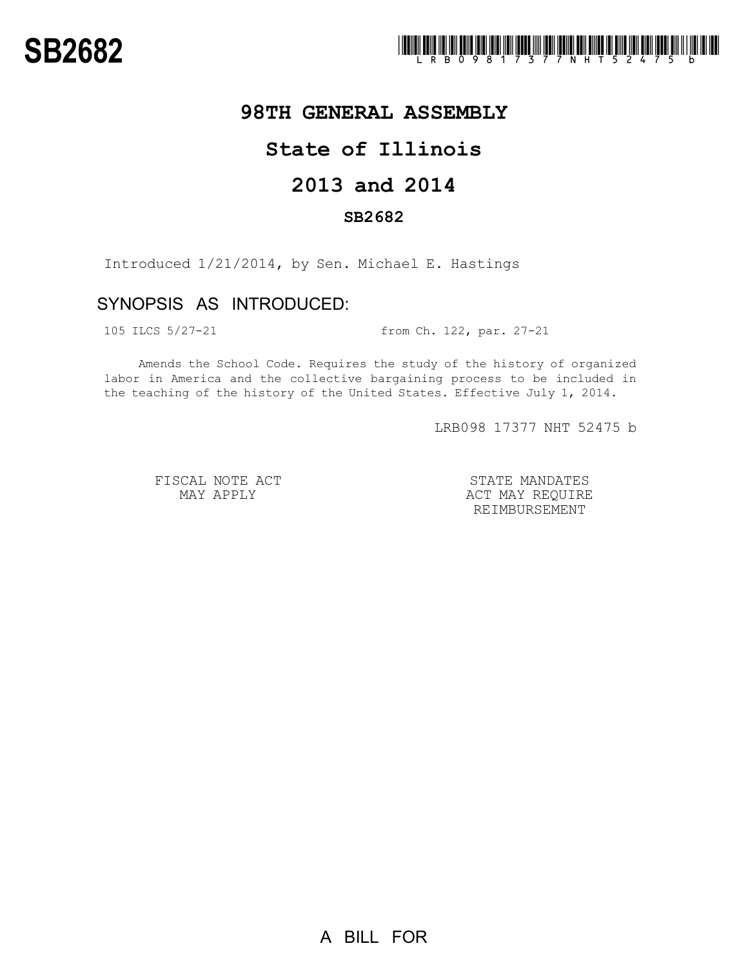## **98TH GENERAL ASSEMBLY**

# **State of Illinois**

# **2013 and 2014**

### **SB2682**

Introduced 1/21/2014, by Sen. Michael E. Hastings

### SYNOPSIS AS INTRODUCED:

105 ILCS 5/27-21 from Ch. 122, par. 27-21

Amends the School Code. Requires the study of the history of organized labor in America and the collective bargaining process to be included in the teaching of the history of the United States. Effective July 1, 2014.

LRB098 17377 NHT 52475 b

FISCAL NOTE ACT MAY APPLY

STATE MANDATES ACT MAY REQUIRE REIMBURSEMENT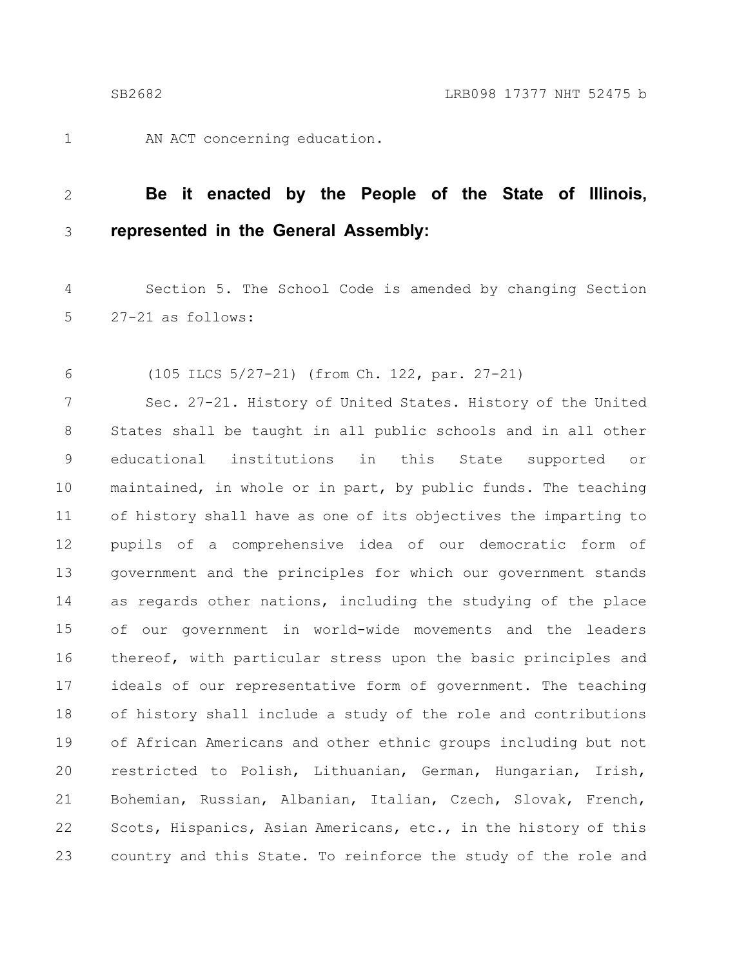1

AN ACT concerning education.

#### **Be it enacted by the People of the State of Illinois, represented in the General Assembly:** 2 3

Section 5. The School Code is amended by changing Section 27-21 as follows: 4 5

(105 ILCS 5/27-21) (from Ch. 122, par. 27-21) 6

Sec. 27-21. History of United States. History of the United States shall be taught in all public schools and in all other educational institutions in this State supported or maintained, in whole or in part, by public funds. The teaching of history shall have as one of its objectives the imparting to pupils of a comprehensive idea of our democratic form of government and the principles for which our government stands as regards other nations, including the studying of the place of our government in world-wide movements and the leaders thereof, with particular stress upon the basic principles and ideals of our representative form of government. The teaching of history shall include a study of the role and contributions of African Americans and other ethnic groups including but not restricted to Polish, Lithuanian, German, Hungarian, Irish, Bohemian, Russian, Albanian, Italian, Czech, Slovak, French, Scots, Hispanics, Asian Americans, etc., in the history of this country and this State. To reinforce the study of the role and 7 8 9 10 11 12 13 14 15 16 17 18 19 20 21 22 23